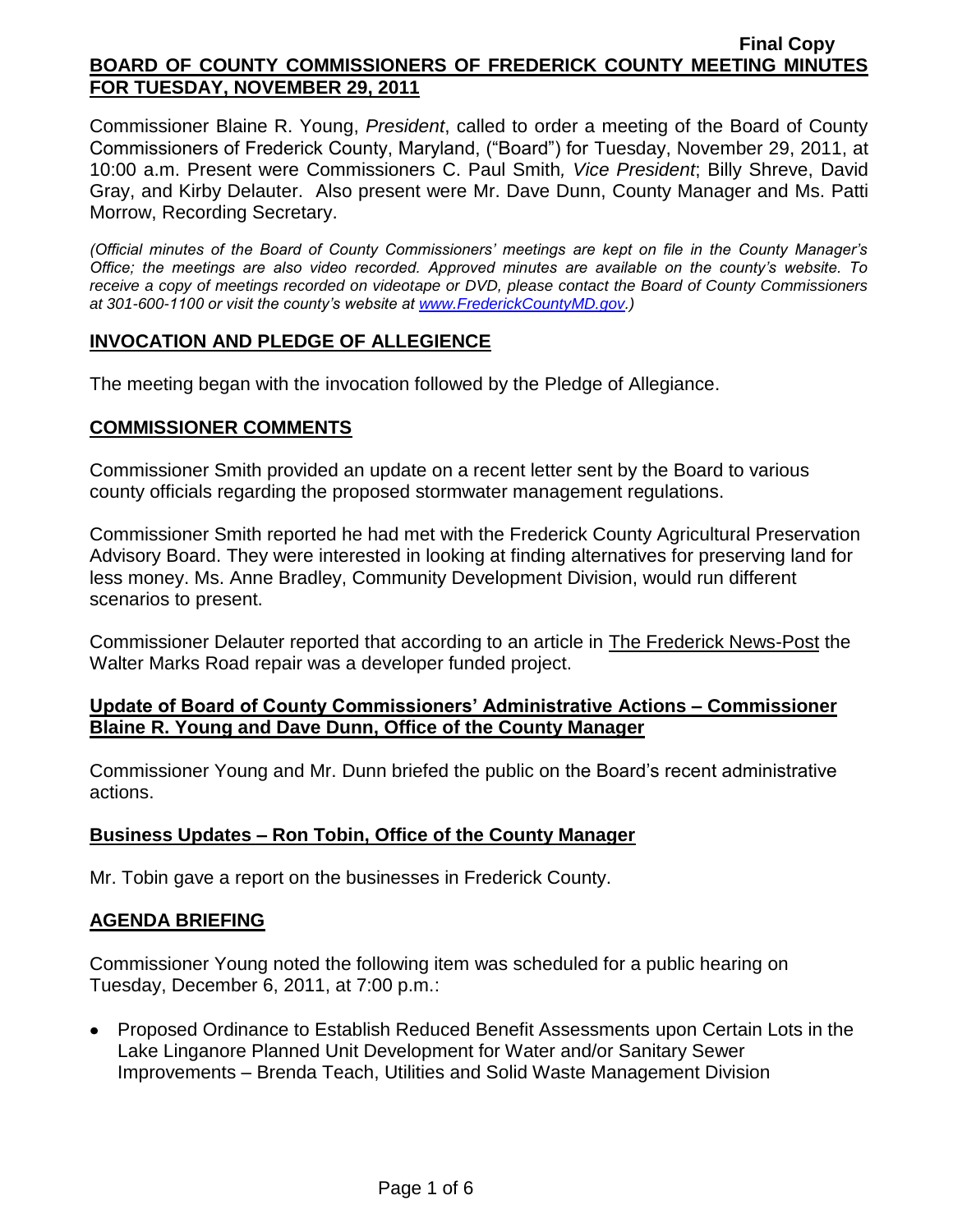Commissioner Blaine R. Young, *President*, called to order a meeting of the Board of County Commissioners of Frederick County, Maryland, ("Board") for Tuesday, November 29, 2011, at 10:00 a.m. Present were Commissioners C. Paul Smith*, Vice President*; Billy Shreve, David Gray, and Kirby Delauter. Also present were Mr. Dave Dunn, County Manager and Ms. Patti Morrow, Recording Secretary.

*(Official minutes of the Board of County Commissioners' meetings are kept on file in the County Manager's Office; the meetings are also video recorded. Approved minutes are available on the county's website. To receive a copy of meetings recorded on videotape or DVD, please contact the Board of County Commissioners at 301-600-1100 or visit the county's website at [www.FrederickCountyMD.gov.](http://www.frederickcountymd.gov/))*

## **INVOCATION AND PLEDGE OF ALLEGIENCE**

The meeting began with the invocation followed by the Pledge of Allegiance.

#### **COMMISSIONER COMMENTS**

Commissioner Smith provided an update on a recent letter sent by the Board to various county officials regarding the proposed stormwater management regulations.

Commissioner Smith reported he had met with the Frederick County Agricultural Preservation Advisory Board. They were interested in looking at finding alternatives for preserving land for less money. Ms. Anne Bradley, Community Development Division, would run different scenarios to present.

Commissioner Delauter reported that according to an article in The Frederick News-Post the Walter Marks Road repair was a developer funded project.

## **Update of Board of County Commissioners' Administrative Actions – Commissioner Blaine R. Young and Dave Dunn, Office of the County Manager**

Commissioner Young and Mr. Dunn briefed the public on the Board's recent administrative actions.

## **Business Updates – Ron Tobin, Office of the County Manager**

Mr. Tobin gave a report on the businesses in Frederick County.

## **AGENDA BRIEFING**

Commissioner Young noted the following item was scheduled for a public hearing on Tuesday, December 6, 2011, at 7:00 p.m.:

Proposed Ordinance to Establish Reduced Benefit Assessments upon Certain Lots in the Lake Linganore Planned Unit Development for Water and/or Sanitary Sewer Improvements – Brenda Teach, Utilities and Solid Waste Management Division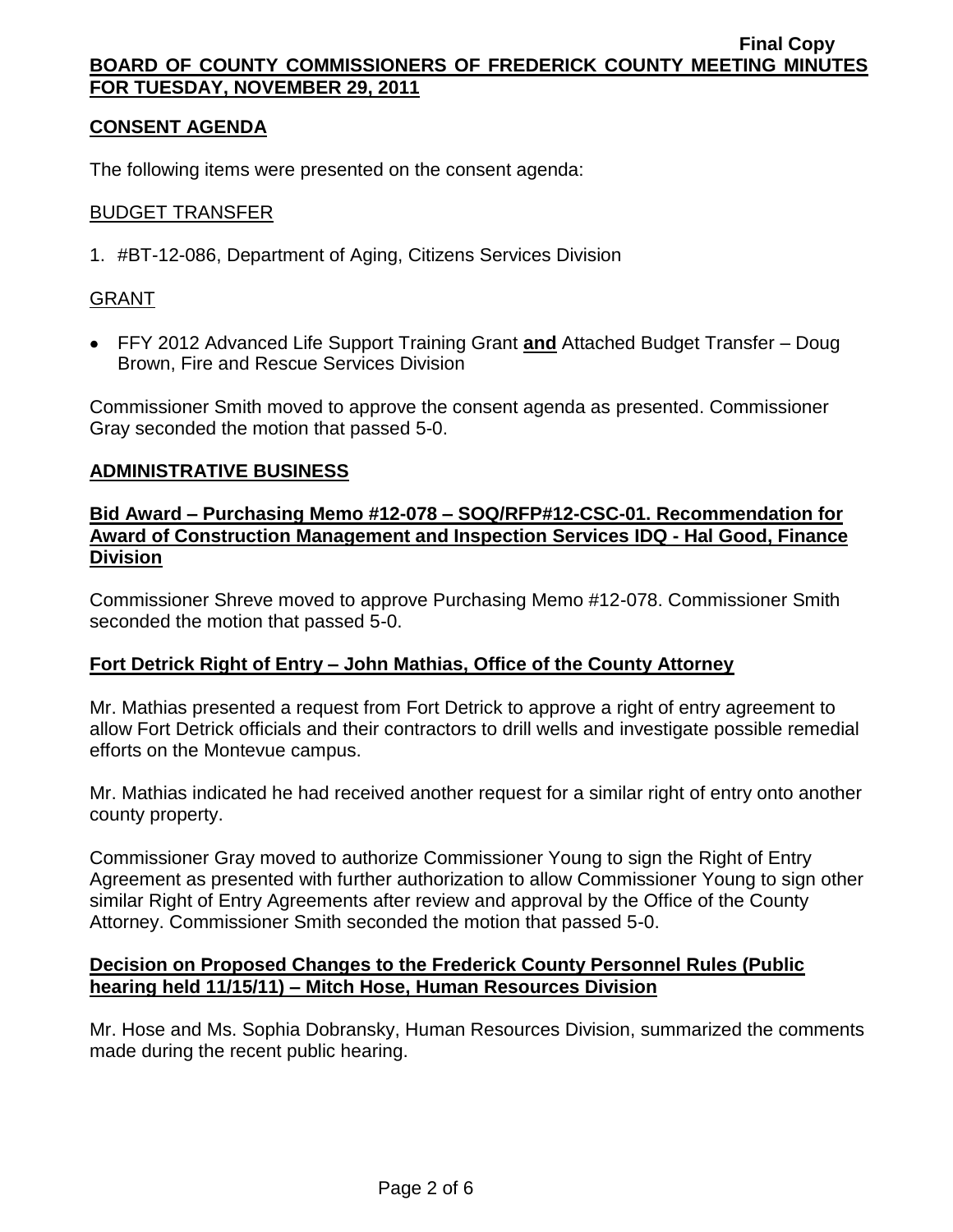# **CONSENT AGENDA**

The following items were presented on the consent agenda:

## BUDGET TRANSFER

1. #BT-12-086, Department of Aging, Citizens Services Division

# GRANT

FFY 2012 Advanced Life Support Training Grant **and** Attached Budget Transfer – Doug Brown, Fire and Rescue Services Division

Commissioner Smith moved to approve the consent agenda as presented. Commissioner Gray seconded the motion that passed 5-0.

## **ADMINISTRATIVE BUSINESS**

## **Bid Award – Purchasing Memo #12-078 – SOQ/RFP#12-CSC-01. Recommendation for Award of Construction Management and Inspection Services IDQ - Hal Good, Finance Division**

Commissioner Shreve moved to approve Purchasing Memo #12-078. Commissioner Smith seconded the motion that passed 5-0.

## **Fort Detrick Right of Entry – John Mathias, Office of the County Attorney**

Mr. Mathias presented a request from Fort Detrick to approve a right of entry agreement to allow Fort Detrick officials and their contractors to drill wells and investigate possible remedial efforts on the Montevue campus.

Mr. Mathias indicated he had received another request for a similar right of entry onto another county property.

Commissioner Gray moved to authorize Commissioner Young to sign the Right of Entry Agreement as presented with further authorization to allow Commissioner Young to sign other similar Right of Entry Agreements after review and approval by the Office of the County Attorney. Commissioner Smith seconded the motion that passed 5-0.

## **Decision on Proposed Changes to the Frederick County Personnel Rules (Public hearing held 11/15/11) – Mitch Hose, Human Resources Division**

Mr. Hose and Ms. Sophia Dobransky, Human Resources Division, summarized the comments made during the recent public hearing.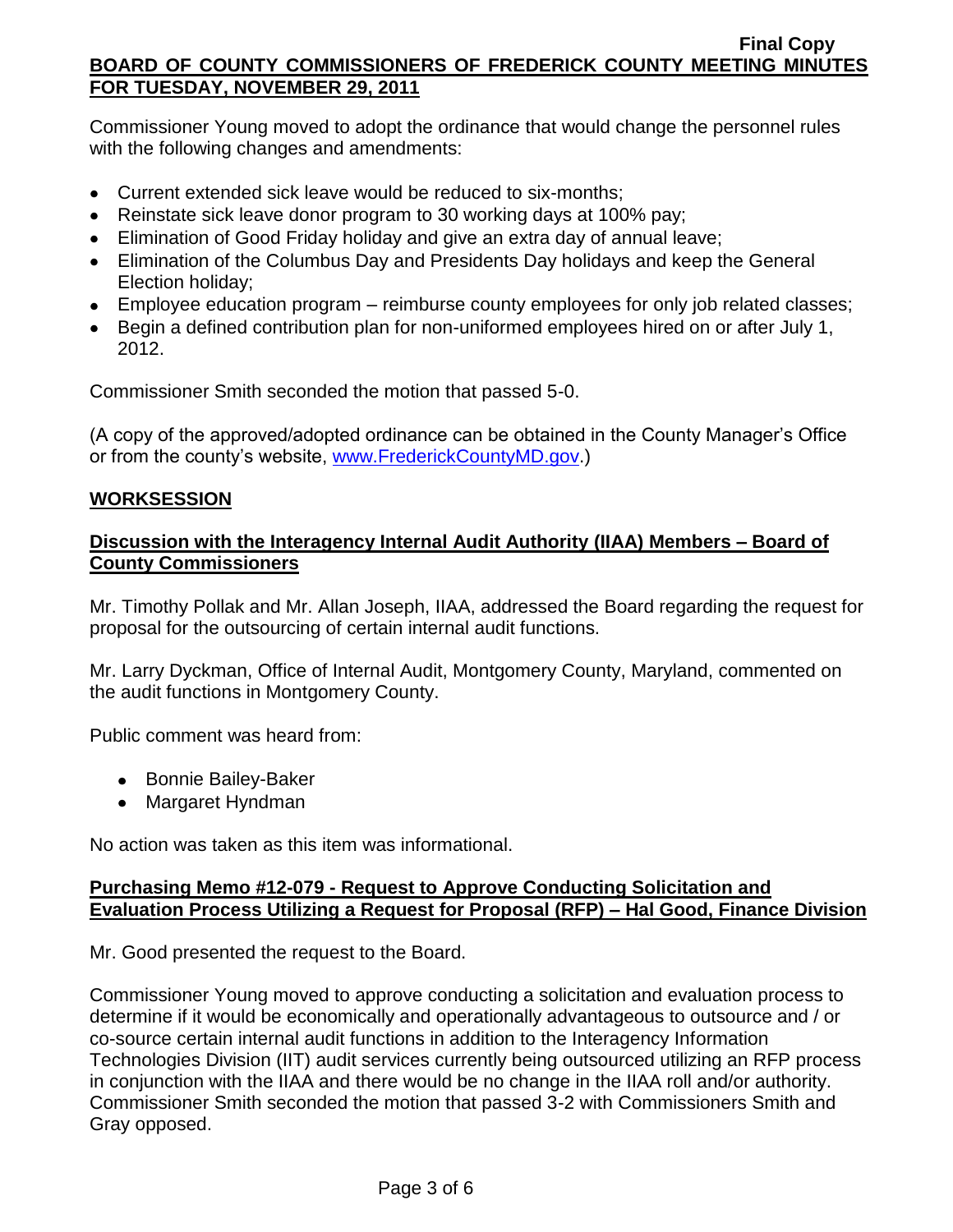Commissioner Young moved to adopt the ordinance that would change the personnel rules with the following changes and amendments:

- Current extended sick leave would be reduced to six-months;
- Reinstate sick leave donor program to 30 working days at 100% pay;
- Elimination of Good Friday holiday and give an extra day of annual leave;
- Elimination of the Columbus Day and Presidents Day holidays and keep the General Election holiday;
- Employee education program reimburse county employees for only job related classes;
- Begin a defined contribution plan for non-uniformed employees hired on or after July 1, 2012.

Commissioner Smith seconded the motion that passed 5-0.

(A copy of the approved/adopted ordinance can be obtained in the County Manager's Office or from the county's website, [www.FrederickCountyMD.gov.](http://www.frederickcountymd.gov/))

# **WORKSESSION**

## **Discussion with the Interagency Internal Audit Authority (IIAA) Members – Board of County Commissioners**

Mr. Timothy Pollak and Mr. Allan Joseph, IIAA, addressed the Board regarding the request for proposal for the outsourcing of certain internal audit functions.

Mr. Larry Dyckman, Office of Internal Audit, Montgomery County, Maryland, commented on the audit functions in Montgomery County.

Public comment was heard from:

- Bonnie Bailey-Baker
- Margaret Hyndman

No action was taken as this item was informational.

# **Purchasing Memo #12-079 - Request to Approve Conducting Solicitation and Evaluation Process Utilizing a Request for Proposal (RFP) – Hal Good, Finance Division**

Mr. Good presented the request to the Board.

Commissioner Young moved to approve conducting a solicitation and evaluation process to determine if it would be economically and operationally advantageous to outsource and / or co-source certain internal audit functions in addition to the Interagency Information Technologies Division (IIT) audit services currently being outsourced utilizing an RFP process in conjunction with the IIAA and there would be no change in the IIAA roll and/or authority. Commissioner Smith seconded the motion that passed 3-2 with Commissioners Smith and Gray opposed.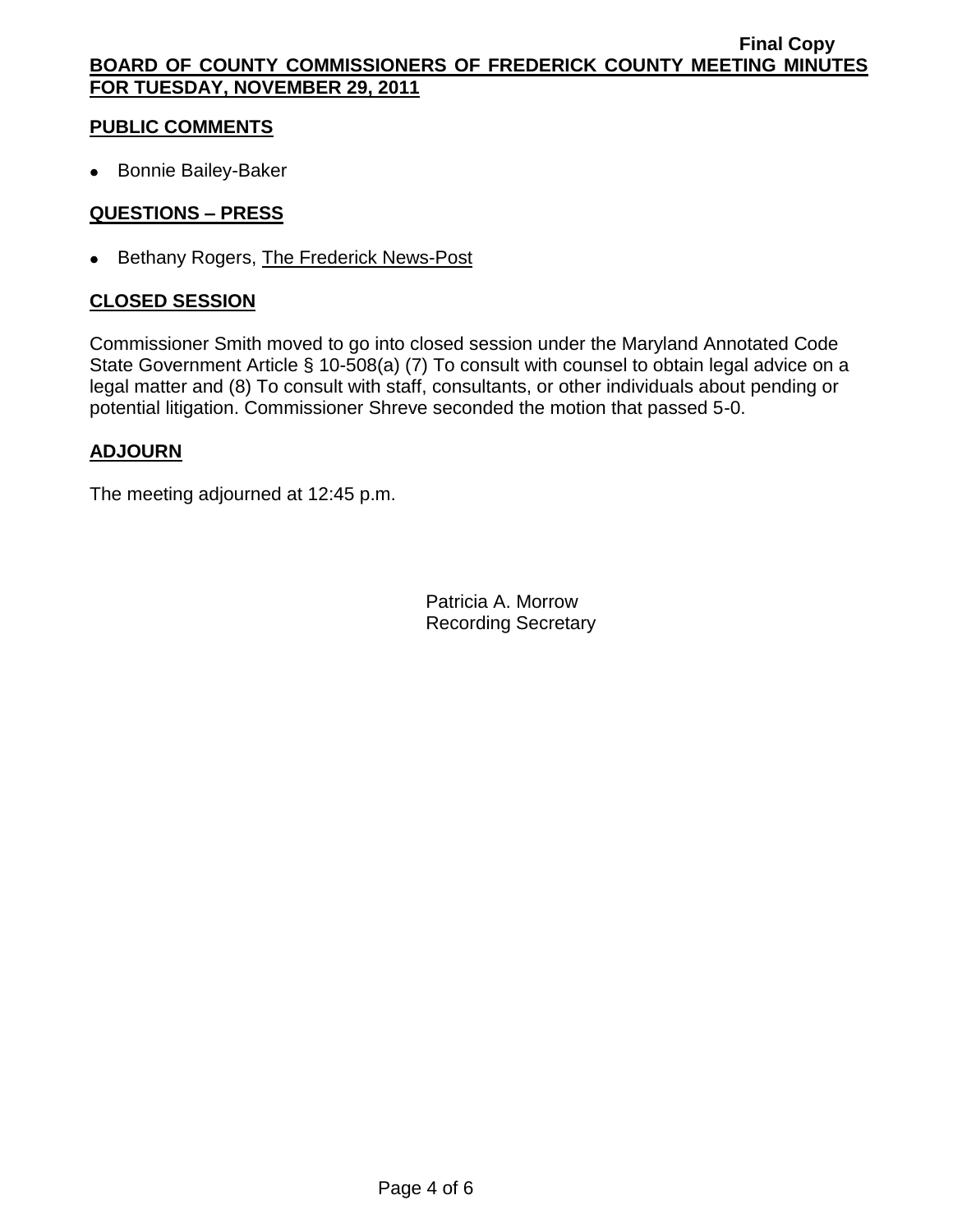# **PUBLIC COMMENTS**

• Bonnie Bailey-Baker

# **QUESTIONS – PRESS**

• Bethany Rogers, The Frederick News-Post

# **CLOSED SESSION**

Commissioner Smith moved to go into closed session under the Maryland Annotated Code State Government Article § 10-508(a) (7) To consult with counsel to obtain legal advice on a legal matter and (8) To consult with staff, consultants, or other individuals about pending or potential litigation. Commissioner Shreve seconded the motion that passed 5-0.

## **ADJOURN**

The meeting adjourned at 12:45 p.m.

Patricia A. Morrow Recording Secretary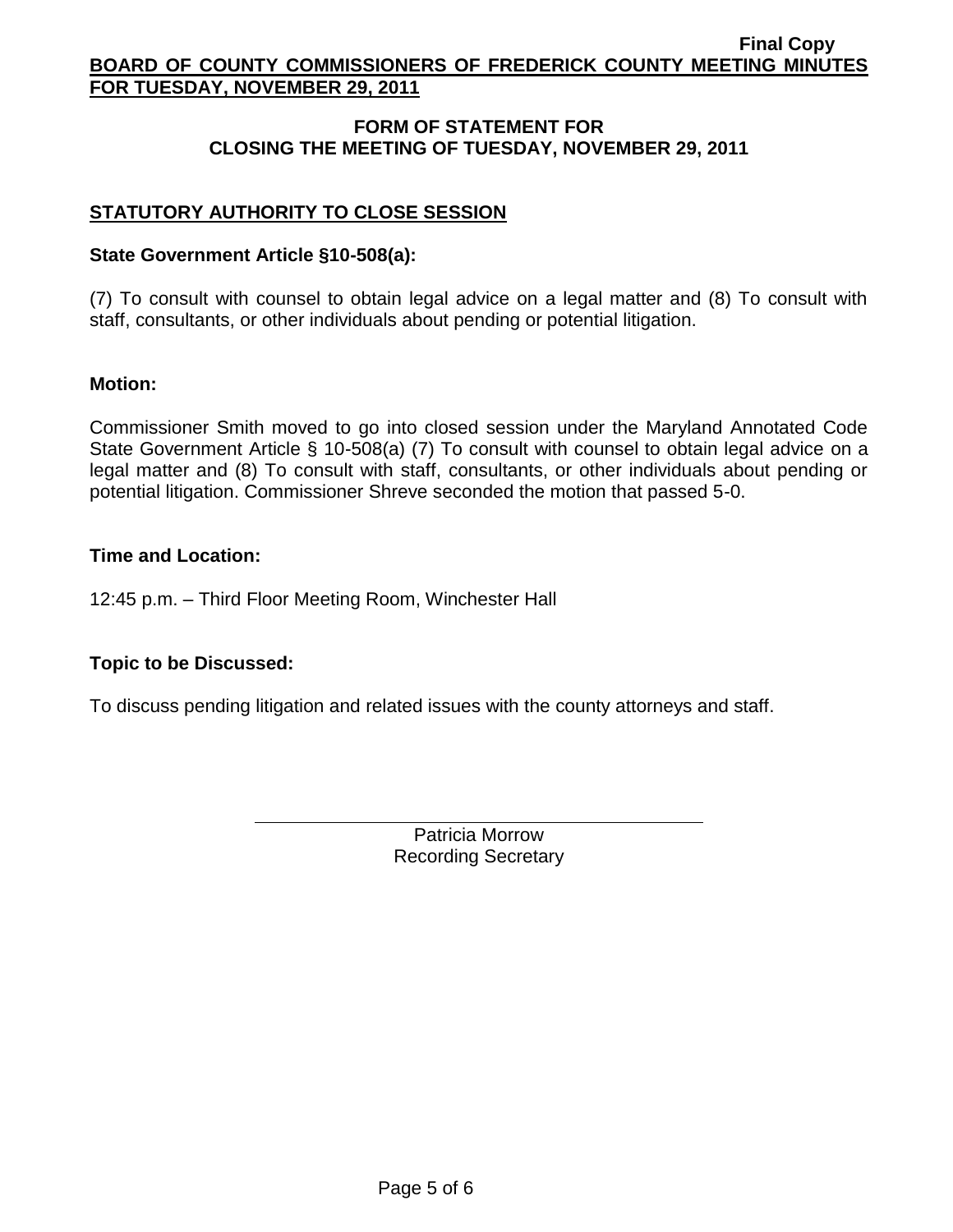# **FORM OF STATEMENT FOR CLOSING THE MEETING OF TUESDAY, NOVEMBER 29, 2011**

# **STATUTORY AUTHORITY TO CLOSE SESSION**

## **State Government Article §10-508(a):**

(7) To consult with counsel to obtain legal advice on a legal matter and (8) To consult with staff, consultants, or other individuals about pending or potential litigation.

## **Motion:**

Commissioner Smith moved to go into closed session under the Maryland Annotated Code State Government Article § 10-508(a) (7) To consult with counsel to obtain legal advice on a legal matter and (8) To consult with staff, consultants, or other individuals about pending or potential litigation. Commissioner Shreve seconded the motion that passed 5-0.

## **Time and Location:**

12:45 p.m. – Third Floor Meeting Room, Winchester Hall

## **Topic to be Discussed:**

To discuss pending litigation and related issues with the county attorneys and staff.

Patricia Morrow Recording Secretary